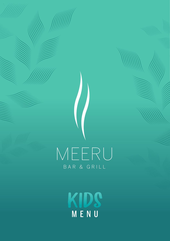

KID. MENU